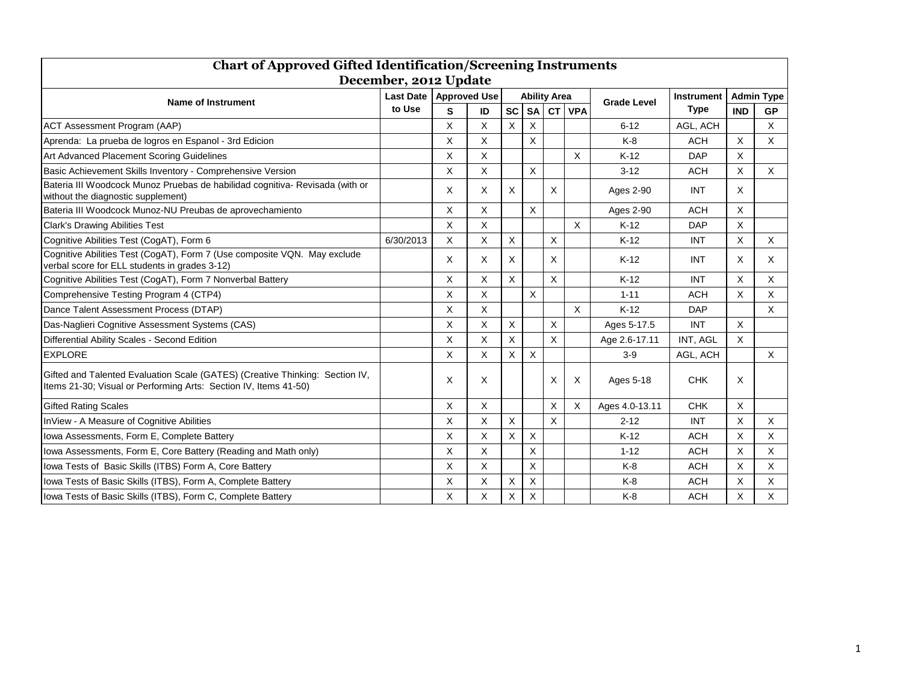| <b>Chart of Approved Gifted Identification/Screening Instruments</b>                                                                             |                  |                     |    |                     |           |           |            |                    |             |                   |              |
|--------------------------------------------------------------------------------------------------------------------------------------------------|------------------|---------------------|----|---------------------|-----------|-----------|------------|--------------------|-------------|-------------------|--------------|
| December, 2012 Update                                                                                                                            |                  |                     |    |                     |           |           |            |                    |             |                   |              |
| <b>Name of Instrument</b>                                                                                                                        | <b>Last Date</b> | <b>Approved Use</b> |    | <b>Ability Area</b> |           |           |            |                    | Instrument  | <b>Admin Type</b> |              |
|                                                                                                                                                  | to Use           | S                   | ID | <b>SC</b>           | <b>SA</b> | <b>CT</b> | <b>VPA</b> | <b>Grade Level</b> | <b>Type</b> | <b>IND</b>        | <b>GP</b>    |
| <b>ACT Assessment Program (AAP)</b>                                                                                                              |                  | X                   | Χ  | X                   | X         |           |            | $6 - 12$           | AGL, ACH    |                   | X            |
| Aprenda: La prueba de logros en Espanol - 3rd Edicion                                                                                            |                  | X.                  | X  |                     | X         |           |            | $K-8$              | <b>ACH</b>  | $\times$          | X            |
| Art Advanced Placement Scoring Guidelines                                                                                                        |                  | X                   | X  |                     |           |           | X          | $K-12$             | <b>DAP</b>  | $\times$          |              |
| Basic Achievement Skills Inventory - Comprehensive Version                                                                                       |                  | X.                  | X  |                     | X         |           |            | $3 - 12$           | <b>ACH</b>  | $\mathsf{X}$      | $\mathsf{X}$ |
| Bateria III Woodcock Munoz Pruebas de habilidad cognitiva- Revisada (with or<br>without the diagnostic supplement)                               |                  | X.                  | X  | X                   |           | X         |            | Ages 2-90          | <b>INT</b>  | $\times$          |              |
| Bateria III Woodcock Munoz-NU Preubas de aprovechamiento                                                                                         |                  | X                   | X  |                     | X         |           |            | Ages 2-90          | <b>ACH</b>  | X                 |              |
| <b>Clark's Drawing Abilities Test</b>                                                                                                            |                  | X                   | X  |                     |           |           | X          | $K-12$             | <b>DAP</b>  | $\mathsf{X}$      |              |
| Cognitive Abilities Test (CogAT), Form 6                                                                                                         | 6/30/2013        | X                   | X  | X                   |           | X         |            | $K-12$             | <b>INT</b>  | X                 | $\times$     |
| Cognitive Abilities Test (CogAT), Form 7 (Use composite VQN. May exclude<br>verbal score for ELL students in grades 3-12)                        |                  | X.                  | X  | X                   |           | X         |            | $K-12$             | <b>INT</b>  | $\times$          | $\mathsf{X}$ |
| Cognitive Abilities Test (CogAT), Form 7 Nonverbal Battery                                                                                       |                  | X                   | X  | X                   |           | X         |            | $K-12$             | <b>INT</b>  | $\mathsf{X}$      | $\times$     |
| Comprehensive Testing Program 4 (CTP4)                                                                                                           |                  | $\times$            | X  |                     | X         |           |            | $1 - 11$           | <b>ACH</b>  | $\mathsf{X}$      | $\times$     |
| Dance Talent Assessment Process (DTAP)                                                                                                           |                  | X                   | X  |                     |           |           | X          | $K-12$             | <b>DAP</b>  |                   | X            |
| Das-Naglieri Cognitive Assessment Systems (CAS)                                                                                                  |                  | X.                  | X  | X                   |           | X         |            | Ages 5-17.5        | <b>INT</b>  | $\mathsf{X}$      |              |
| Differential Ability Scales - Second Edition                                                                                                     |                  | X                   | X  | X                   |           | X         |            | Age 2.6-17.11      | INT, AGL    | $\times$          |              |
| <b>EXPLORE</b>                                                                                                                                   |                  | X                   | X  | X                   | X         |           |            | $3-9$              | AGL, ACH    |                   | $\mathsf{X}$ |
| Gifted and Talented Evaluation Scale (GATES) (Creative Thinking: Section IV,<br>Items 21-30; Visual or Performing Arts: Section IV, Items 41-50) |                  | X                   | Χ  |                     |           | X         | Х          | Ages 5-18          | <b>CHK</b>  | X                 |              |
| <b>Gifted Rating Scales</b>                                                                                                                      |                  | X                   | X  |                     |           | X         | Х          | Ages 4.0-13.11     | <b>CHK</b>  | X                 |              |
| InView - A Measure of Cognitive Abilities                                                                                                        |                  | X                   | X  | $\times$            |           | X         |            | $2 - 12$           | <b>INT</b>  | $\mathsf{X}$      | $\mathsf{X}$ |
| Iowa Assessments, Form E, Complete Battery                                                                                                       |                  | X                   | X  | X                   | Χ         |           |            | $K-12$             | <b>ACH</b>  | X                 | X            |
| lowa Assessments, Form E, Core Battery (Reading and Math only)                                                                                   |                  | X                   | X  |                     | X         |           |            | $1 - 12$           | <b>ACH</b>  | $\mathsf{X}$      | X            |
| Iowa Tests of Basic Skills (ITBS) Form A, Core Battery                                                                                           |                  | X                   | X  |                     | X         |           |            | $K-8$              | <b>ACH</b>  | X                 | $\times$     |
| lowa Tests of Basic Skills (ITBS), Form A, Complete Battery                                                                                      |                  | X                   | X  | X                   | X         |           |            | $K-8$              | <b>ACH</b>  | $\mathsf X$       | X            |
| Iowa Tests of Basic Skills (ITBS), Form C, Complete Battery                                                                                      |                  | X                   | X  | X                   | X         |           |            | $K-8$              | <b>ACH</b>  | X                 | X            |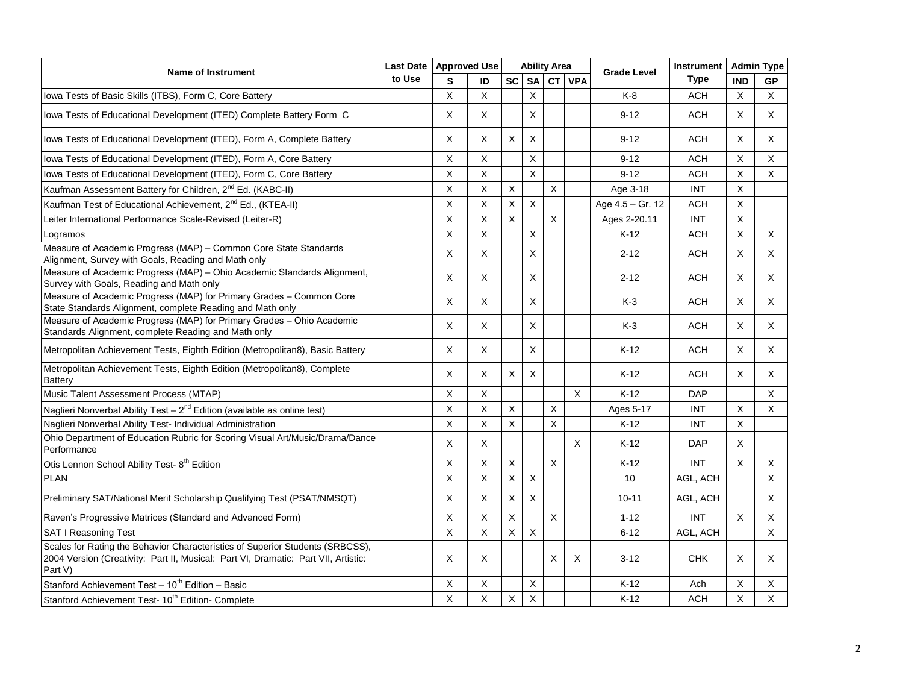| <b>Name of Instrument</b>                                                                                                                                                      | <b>Last Date</b> | <b>Approved Use</b> |              | <b>Ability Area</b> |                         |             |             | <b>Grade Level</b> | <b>Instrument</b> | <b>Admin Type</b>       |                |
|--------------------------------------------------------------------------------------------------------------------------------------------------------------------------------|------------------|---------------------|--------------|---------------------|-------------------------|-------------|-------------|--------------------|-------------------|-------------------------|----------------|
|                                                                                                                                                                                | to Use           | S                   | ID           | sc l                |                         |             | SA CT VPA   |                    | <b>Type</b>       | <b>IND</b>              | GP             |
| Iowa Tests of Basic Skills (ITBS), Form C, Core Battery                                                                                                                        |                  | $\mathsf X$         | X            |                     | $\pmb{\times}$          |             |             | K-8                | <b>ACH</b>        | $\times$                | $\times$       |
| Iowa Tests of Educational Development (ITED) Complete Battery Form C                                                                                                           |                  | $\mathsf X$         | X            |                     | $\mathsf{X}$            |             |             | $9 - 12$           | <b>ACH</b>        | X                       | $\mathsf{X}$   |
| Iowa Tests of Educational Development (ITED), Form A, Complete Battery                                                                                                         |                  | X                   | X            | $\mathsf X$         | $\mathsf X$             |             |             | $9 - 12$           | <b>ACH</b>        | X                       | X              |
| Iowa Tests of Educational Development (ITED), Form A, Core Battery                                                                                                             |                  | $\mathsf X$         | X            |                     | X                       |             |             | $9 - 12$           | <b>ACH</b>        | X                       | X              |
| Iowa Tests of Educational Development (ITED), Form C, Core Battery                                                                                                             |                  | X                   | $\sf X$      |                     | $\overline{\mathsf{x}}$ |             |             | $9 - 12$           | <b>ACH</b>        | X                       | X              |
| Kaufman Assessment Battery for Children, 2 <sup>nd</sup> Ed. (KABC-II)                                                                                                         |                  | $\mathsf X$         | $\mathsf{X}$ | $\mathsf X$         |                         | $\mathsf X$ |             | Age 3-18           | <b>INT</b>        | $\mathsf X$             |                |
| Kaufman Test of Educational Achievement, 2 <sup>nd</sup> Ed., (KTEA-II)                                                                                                        |                  | $\mathsf X$         | X            | X                   | $\pmb{\times}$          |             |             | Age 4.5 - Gr. 12   | <b>ACH</b>        | $\mathsf{X}$            |                |
| Leiter International Performance Scale-Revised (Leiter-R)                                                                                                                      |                  | $\mathsf X$         | $\sf X$      | $\mathsf{X}$        |                         | X           |             | Ages 2-20.11       | <b>INT</b>        | $\mathsf X$             |                |
| Logramos                                                                                                                                                                       |                  | $\mathsf X$         | X            |                     | X                       |             |             | $K-12$             | <b>ACH</b>        | $\mathsf X$             | X              |
| Measure of Academic Progress (MAP) - Common Core State Standards<br>Alignment, Survey with Goals, Reading and Math only                                                        |                  | X                   | X            |                     | X                       |             |             | $2 - 12$           | <b>ACH</b>        | X                       | $\mathsf{X}$   |
| Measure of Academic Progress (MAP) - Ohio Academic Standards Alignment,<br>Survey with Goals, Reading and Math only                                                            |                  | X                   | X            |                     | $\mathsf{X}$            |             |             | $2 - 12$           | <b>ACH</b>        | X                       | X              |
| Measure of Academic Progress (MAP) for Primary Grades - Common Core<br>State Standards Alignment, complete Reading and Math only                                               |                  | $\mathsf X$         | X            |                     | X                       |             |             | K-3                | <b>ACH</b>        | X                       | X              |
| Measure of Academic Progress (MAP) for Primary Grades - Ohio Academic<br>Standards Alignment, complete Reading and Math only                                                   |                  | X                   | X            |                     | X                       |             |             | $K-3$              | <b>ACH</b>        | $\mathsf X$             | X              |
| Metropolitan Achievement Tests, Eighth Edition (Metropolitan8), Basic Battery                                                                                                  |                  | $\mathsf X$         | X            |                     | X                       |             |             | $K-12$             | <b>ACH</b>        | $\mathsf X$             | $\mathsf X$    |
| Metropolitan Achievement Tests, Eighth Edition (Metropolitan8), Complete<br><b>Battery</b>                                                                                     |                  | $\times$            | X            | X                   | X                       |             |             | $K-12$             | <b>ACH</b>        | X                       | X              |
| Music Talent Assessment Process (MTAP)                                                                                                                                         |                  | $\mathsf X$         | $\mathsf X$  |                     |                         |             | $\mathsf X$ | $K-12$             | <b>DAP</b>        |                         | $\mathsf{X}$   |
| Naglieri Nonverbal Ability Test - $2^{nd}$ Edition (available as online test)                                                                                                  |                  | $\mathsf{X}$        | X            | $\mathsf{X}$        |                         | X           |             | Ages 5-17          | <b>INT</b>        | X                       | X              |
| Naglieri Nonverbal Ability Test- Individual Administration                                                                                                                     |                  | X                   | $\sf X$      | X                   |                         | X           |             | $K-12$             | INT               | X                       |                |
| Ohio Department of Education Rubric for Scoring Visual Art/Music/Drama/Dance<br>Performance                                                                                    |                  | X                   | X            |                     |                         |             | X           | $K-12$             | <b>DAP</b>        | X                       |                |
| Otis Lennon School Ability Test- 8 <sup>th</sup> Edition                                                                                                                       |                  | $\mathsf X$         | $\sf X$      | $\overline{X}$      |                         | $\mathsf X$ |             | $K-12$             | <b>INT</b>        | $\mathsf{X}$            | $\mathsf{X}$   |
| <b>PLAN</b>                                                                                                                                                                    |                  | X                   | X            | X                   | X                       |             |             | 10 <sup>°</sup>    | AGL, ACH          |                         | $\mathsf{X}$   |
| Preliminary SAT/National Merit Scholarship Qualifying Test (PSAT/NMSQT)                                                                                                        |                  | $\times$            | X            | $\pmb{\times}$      | $\pmb{\times}$          |             |             | $10 - 11$          | AGL, ACH          |                         | X              |
| Raven's Progressive Matrices (Standard and Advanced Form)                                                                                                                      |                  | $\mathsf X$         | X            | $\mathsf X$         |                         | $\mathsf X$ |             | $1 - 12$           | <b>INT</b>        | $\mathsf{X}$            | $\mathsf{X}$   |
| <b>SAT I Reasoning Test</b>                                                                                                                                                    |                  | $\mathsf{X}$        | $\mathsf X$  | $\mathsf X$         | $\mathsf X$             |             |             | $6 - 12$           | AGL, ACH          |                         | $\mathsf{X}$   |
| Scales for Rating the Behavior Characteristics of Superior Students (SRBCSS),<br>2004 Version (Creativity: Part II, Musical: Part VI, Dramatic: Part VII, Artistic:<br>Part V) |                  | X                   | X            |                     |                         | X           | X           | $3 - 12$           | <b>CHK</b>        | X                       | X.             |
| Stanford Achievement Test - 10 <sup>th</sup> Edition - Basic                                                                                                                   |                  | X                   | X            |                     | X                       |             |             | $K-12$             | Ach               | X                       | $\mathsf{X}$   |
| Stanford Achievement Test- 10 <sup>th</sup> Edition- Complete                                                                                                                  |                  | $\overline{X}$      | $\mathsf X$  | $\mathsf X$         | $\mathsf X$             |             |             | $K-12$             | <b>ACH</b>        | $\overline{\mathsf{x}}$ | $\overline{X}$ |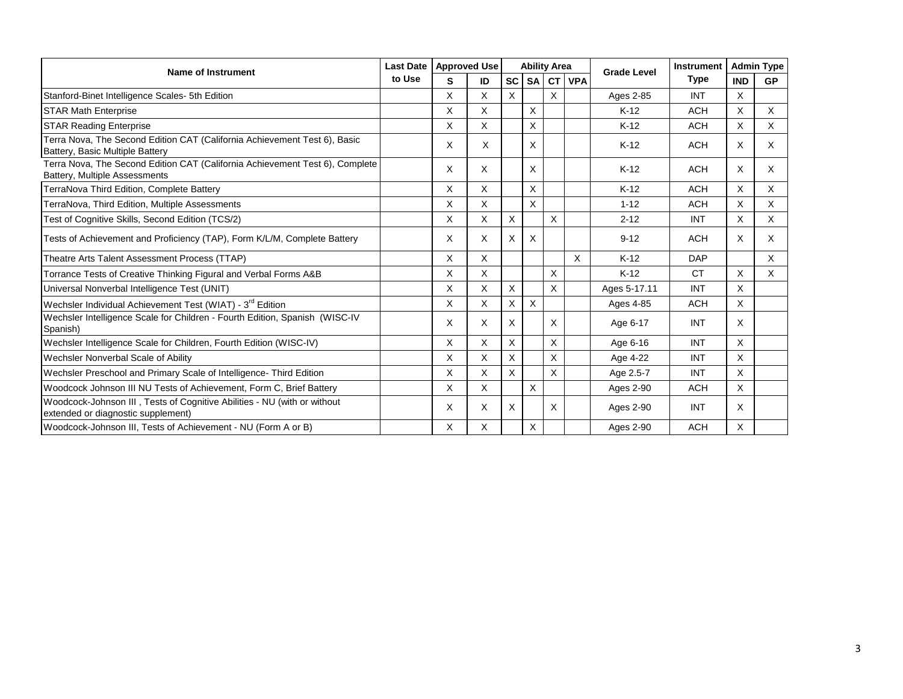| <b>Name of Instrument</b>                                                                                      | <b>Last Date</b><br>to Use | <b>Approved Use</b> |    |           |           | <b>Ability Area</b> |            | <b>Grade Level</b> | Instrument  |            | <b>Admin Type</b> |
|----------------------------------------------------------------------------------------------------------------|----------------------------|---------------------|----|-----------|-----------|---------------------|------------|--------------------|-------------|------------|-------------------|
|                                                                                                                |                            | S                   | ID | <b>SC</b> | <b>SA</b> | <b>CT</b>           | <b>VPA</b> |                    | <b>Type</b> | <b>IND</b> | <b>GP</b>         |
| Stanford-Binet Intelligence Scales- 5th Edition                                                                |                            | X                   | X  | X         |           | X                   |            | Ages 2-85          | <b>INT</b>  | $\times$   |                   |
| <b>STAR Math Enterprise</b>                                                                                    |                            | X                   | X  |           | X         |                     |            | $K-12$             | <b>ACH</b>  | X          | X                 |
| <b>STAR Reading Enterprise</b>                                                                                 |                            | X                   | X  |           | X         |                     |            | $K-12$             | <b>ACH</b>  | X          | X                 |
| Terra Nova, The Second Edition CAT (California Achievement Test 6), Basic<br>Battery, Basic Multiple Battery   |                            | X                   | X  |           | X         |                     |            | $K-12$             | <b>ACH</b>  | $\times$   | X                 |
| Terra Nova, The Second Edition CAT (California Achievement Test 6), Complete<br>Battery, Multiple Assessments  |                            | X                   | X  |           | X         |                     |            | $K-12$             | <b>ACH</b>  | X          | $\times$          |
| TerraNova Third Edition, Complete Battery                                                                      |                            | X                   | X  |           | X         |                     |            | $K-12$             | <b>ACH</b>  | X          | X                 |
| TerraNova, Third Edition, Multiple Assessments                                                                 |                            | X                   | X  |           | X         |                     |            | $1 - 12$           | <b>ACH</b>  | X          | X                 |
| Test of Cognitive Skills, Second Edition (TCS/2)                                                               |                            | X                   | X  | X         |           | X                   |            | $2 - 12$           | <b>INT</b>  | X          | X                 |
| Tests of Achievement and Proficiency (TAP), Form K/L/M, Complete Battery                                       |                            | X                   | X  | X         | X         |                     |            | $9 - 12$           | <b>ACH</b>  | $\times$   | $\times$          |
| Theatre Arts Talent Assessment Process (TTAP)                                                                  |                            | X                   | X  |           |           |                     | X          | $K-12$             | <b>DAP</b>  |            | X                 |
| Torrance Tests of Creative Thinking Figural and Verbal Forms A&B                                               |                            | X                   | X  |           |           | X                   |            | $K-12$             | <b>CT</b>   | X          | X                 |
| Universal Nonverbal Intelligence Test (UNIT)                                                                   |                            | X                   | X  | X         |           | X                   |            | Ages 5-17.11       | INT         | X          |                   |
| Wechsler Individual Achievement Test (WIAT) - 3 <sup>rd</sup> Edition                                          |                            | X                   | X  | X         | X         |                     |            | Ages 4-85          | <b>ACH</b>  | X          |                   |
| Wechsler Intelligence Scale for Children - Fourth Edition, Spanish (WISC-IV<br>Spanish)                        |                            | X                   | X  | X         |           | X                   |            | Age 6-17           | <b>INT</b>  | X          |                   |
| Wechsler Intelligence Scale for Children, Fourth Edition (WISC-IV)                                             |                            | X                   | X  | X         |           | X                   |            | Age 6-16           | <b>INT</b>  | X          |                   |
| Wechsler Nonverbal Scale of Ability                                                                            |                            | X                   | X  | X         |           | X                   |            | Age 4-22           | <b>INT</b>  | X          |                   |
| Wechsler Preschool and Primary Scale of Intelligence- Third Edition                                            |                            | X                   | X  | X         |           | X                   |            | Age 2.5-7          | <b>INT</b>  | X          |                   |
| Woodcock Johnson III NU Tests of Achievement, Form C, Brief Battery                                            |                            | X                   | X  |           | X         |                     |            | Ages 2-90          | <b>ACH</b>  | X          |                   |
| Woodcock-Johnson III, Tests of Cognitive Abilities - NU (with or without<br>extended or diagnostic supplement) |                            | X                   | X  | X         |           | X                   |            | Ages 2-90          | <b>INT</b>  | X          |                   |
| Woodcock-Johnson III, Tests of Achievement - NU (Form A or B)                                                  |                            | X                   | X  |           | Χ         |                     |            | Ages 2-90          | <b>ACH</b>  | X          |                   |